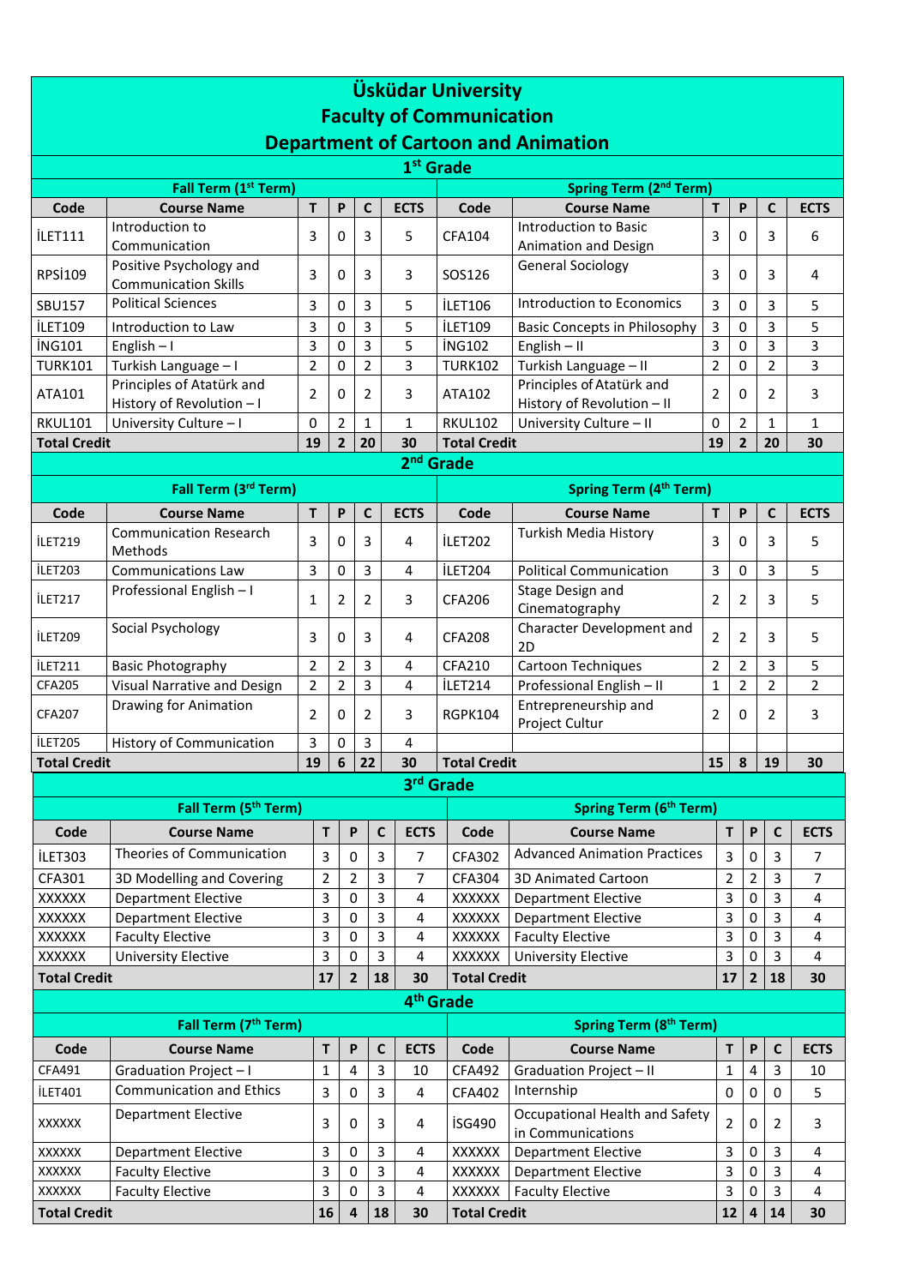| <b>Üsküdar University</b>                      |                                                        |                |                           |                |                             |                     |                                                         |                |                |                           |                |                         |
|------------------------------------------------|--------------------------------------------------------|----------------|---------------------------|----------------|-----------------------------|---------------------|---------------------------------------------------------|----------------|----------------|---------------------------|----------------|-------------------------|
| <b>Faculty of Communication</b>                |                                                        |                |                           |                |                             |                     |                                                         |                |                |                           |                |                         |
|                                                | <b>Department of Cartoon and Animation</b>             |                |                           |                |                             |                     |                                                         |                |                |                           |                |                         |
| 1 <sup>st</sup> Grade                          |                                                        |                |                           |                |                             |                     |                                                         |                |                |                           |                |                         |
| Fall Term (1st Term)<br>Spring Term (2nd Term) |                                                        |                |                           |                |                             |                     |                                                         |                |                |                           |                |                         |
| Code                                           | <b>Course Name</b>                                     | T              | $\boldsymbol{\mathsf{P}}$ | C              | <b>ECTS</b>                 | Code                | <b>Course Name</b>                                      | T              | P              |                           | $\mathsf{C}$   | <b>ECTS</b>             |
| <b>İLET111</b>                                 | Introduction to<br>Communication                       | 3              | 0                         | 3              | 5                           | <b>CFA104</b>       | Introduction to Basic<br>Animation and Design           | 3              | 0              |                           | 3              | 6                       |
| RPSİ109                                        | Positive Psychology and<br><b>Communication Skills</b> | 3              | $\Omega$                  | 3              | 3                           | SOS126              | <b>General Sociology</b>                                | 3              | 0              |                           | 3              | 4                       |
| <b>SBU157</b>                                  | <b>Political Sciences</b>                              | 3              | $\Omega$                  | 3              | 5                           | <b>İLET106</b>      | Introduction to Economics                               | 3              | 0              |                           | 3              | 5                       |
| <b>İLET109</b>                                 | Introduction to Law                                    | 3              | 0                         | 3              | 5                           | <b>İLET109</b>      | <b>Basic Concepts in Philosophy</b>                     | 3              | 0              |                           | 3              | 5                       |
| <b>İNG101</b>                                  | English $-1$                                           | 3              | 0                         | 3              | 5                           | <b>ING102</b>       | $English - II$                                          | 3              | 0              |                           | 3              | 3                       |
| <b>TURK101</b>                                 | Turkish Language - I                                   | $\overline{2}$ | $\Omega$                  | $\overline{2}$ | 3                           | <b>TURK102</b>      | Turkish Language - II                                   | $\overline{2}$ | 0              |                           | $\overline{2}$ | $\overline{3}$          |
| ATA101                                         | Principles of Atatürk and<br>History of Revolution - I | 2              | 0                         | $\overline{2}$ | 3                           | ATA102              | Principles of Atatürk and<br>History of Revolution - II | $\overline{2}$ | 0              |                           | $\overline{2}$ | 3                       |
| <b>RKUL101</b>                                 | University Culture - I                                 | 0              | $\overline{2}$            | $\mathbf{1}$   | $\mathbf{1}$                | <b>RKUL102</b>      | University Culture - II                                 | 0<br>19        | $\overline{2}$ |                           | $\mathbf{1}$   | $\mathbf{1}$            |
| <b>Total Credit</b>                            |                                                        | 19             | $\overline{2}$            | 20             | 30                          | <b>Total Credit</b> |                                                         |                | $\overline{2}$ |                           | 20             | 30                      |
| 2 <sup>nd</sup> Grade                          |                                                        |                |                           |                |                             |                     |                                                         |                |                |                           |                |                         |
|                                                | Fall Term (3rd Term)                                   |                |                           |                |                             |                     | <b>Spring Term (4th Term)</b>                           |                |                |                           |                |                         |
| Code                                           | <b>Course Name</b>                                     | T              | P                         | C              | <b>ECTS</b>                 | Code                | <b>Course Name</b>                                      | Т              | P              |                           | $\mathbf c$    | <b>ECTS</b>             |
| <b>İLET219</b>                                 | <b>Communication Research</b><br>Methods               | 3              | 0                         | $\overline{3}$ | 4                           | <b>İLET202</b>      | Turkish Media History                                   | 3              | 0              |                           | $\overline{3}$ | 5                       |
| İLET203                                        | <b>Communications Law</b>                              | 3              | $\Omega$                  | 3              | $\overline{4}$              | İLET204             | <b>Political Communication</b>                          | 3              | 0              |                           | 3              | 5                       |
| İLET217                                        | Professional English - I                               | 1              | 2                         | $\overline{2}$ | 3                           | <b>CFA206</b>       | Stage Design and<br>Cinematography                      | $\overline{2}$ | 2              |                           | 3              | 5                       |
| <b>İLET209</b>                                 | Social Psychology                                      | 3              | 0                         | 3              | 4                           | <b>CFA208</b>       | Character Development and<br>2D                         | $\overline{2}$ | 2              |                           | 3              | 5                       |
| <b>İLET211</b>                                 | <b>Basic Photography</b>                               | 2              | $\overline{2}$            | 3              | 4                           | CFA210              | Cartoon Techniques                                      | $\overline{2}$ | $\overline{2}$ |                           | 3              | 5                       |
| CFA205                                         | Visual Narrative and Design                            | 2              | $\overline{2}$            | 3              | 4                           | İLET214             | Professional English - II                               | $\mathbf{1}$   | $\overline{2}$ |                           | $\overline{2}$ | $\overline{2}$          |
| <b>CFA207</b>                                  | Drawing for Animation                                  | 2              | 0                         | $\overline{2}$ | 3                           | RGPK104             | Entrepreneurship and<br>Project Cultur                  | 2              | 0              |                           | $\overline{2}$ | 3                       |
| <b>İLET205</b>                                 | <b>History of Communication</b>                        | 3              | 0<br>$\boldsymbol{6}$     | 3              | 4                           |                     |                                                         |                |                |                           |                |                         |
| 19<br><b>Total Credit</b>                      |                                                        |                |                           | 22             | 30                          | <b>Total Credit</b> |                                                         | 15             | $\pmb{8}$      |                           | 19             | 30                      |
|                                                |                                                        |                |                           |                |                             | 3rd Grade           |                                                         |                |                |                           |                |                         |
|                                                | Fall Term (5 <sup>th</sup> Term)                       |                |                           |                |                             |                     | Spring Term (6 <sup>th</sup> Term)                      |                |                |                           |                |                         |
| Code                                           | <b>Course Name</b>                                     | $\mathsf T$    |                           | P              | $\mathsf{C}$<br><b>ECTS</b> | Code                | <b>Course Name</b>                                      |                | T              | $\boldsymbol{\mathsf{P}}$ | $\mathbf c$    | <b>ECTS</b>             |
| İLET303                                        | Theories of Communication                              | 3              |                           | 0              | 3<br>7                      | CFA302              | <b>Advanced Animation Practices</b>                     |                | 3              | 0                         | 3              | 7                       |
| CFA301                                         | 3D Modelling and Covering                              | $\overline{2}$ |                           | $\overline{2}$ | 3<br>7                      | <b>CFA304</b>       | 3D Animated Cartoon                                     |                | $\overline{2}$ | $\overline{2}$            | 3              | $\overline{7}$          |
| XXXXXX                                         | <b>Department Elective</b>                             | 3              |                           | 0              | 3<br>4                      | XXXXXX              | <b>Department Elective</b>                              |                | 3              | $\pmb{0}$                 | 3              | 4                       |
| XXXXXX                                         | <b>Department Elective</b>                             | 3              |                           | 0              | 3<br>4                      | <b>XXXXXX</b>       | <b>Department Elective</b>                              |                | 3              | $\pmb{0}$                 | 3              | $\overline{\mathbf{4}}$ |
| XXXXXX                                         | <b>Faculty Elective</b>                                | 3              |                           | 0              | 3<br>4                      | XXXXXX              | <b>Faculty Elective</b>                                 |                | 3              | 0                         | 3              | $\overline{4}$          |
| XXXXXX                                         | University Elective                                    | 3              |                           | 0              | 3<br>4                      | XXXXXX              | University Elective                                     |                | 3              | $\pmb{0}$                 | 3              | 4                       |
| <b>Total Credit</b>                            |                                                        | 17             |                           | 2              | 18<br>30                    | <b>Total Credit</b> |                                                         |                | 17             | $\overline{2}$            | 18             | 30                      |
| 4 <sup>th</sup> Grade                          |                                                        |                |                           |                |                             |                     |                                                         |                |                |                           |                |                         |
|                                                | Fall Term (7 <sup>th</sup> Term)                       |                |                           |                |                             |                     | Spring Term (8 <sup>th</sup> Term)                      |                |                |                           |                |                         |
| Code                                           | <b>Course Name</b>                                     | T              |                           | P              | $\mathsf{C}$<br><b>ECTS</b> | Code                | <b>Course Name</b>                                      |                | T              | $\boldsymbol{\mathsf{P}}$ | $\mathbf c$    | <b>ECTS</b>             |
| CFA491                                         | Graduation Project-I                                   | 1              |                           | 4              | 3<br>10                     | <b>CFA492</b>       | Graduation Project-II                                   |                | 1              | 4                         | $\overline{3}$ | 10                      |
| <b>İLET401</b>                                 | <b>Communication and Ethics</b>                        | 3              |                           | 0              | 3<br>4                      | CFA402              | Internship                                              |                | 0              | $\pmb{0}$                 | $\mathbf 0$    | 5                       |
| XXXXXX                                         | <b>Department Elective</b>                             | 3              |                           | 0              | 3<br>4                      | <b>İSG490</b>       | Occupational Health and Safety<br>in Communications     |                | 2              | $\pmb{0}$                 | $\overline{2}$ | 3                       |
| XXXXXX                                         | <b>Department Elective</b>                             | 3              |                           | 0              | 3<br>4                      | <b>XXXXXX</b>       | <b>Department Elective</b>                              |                | 3              | 0                         | 3              | 4                       |
| XXXXXX                                         | <b>Faculty Elective</b>                                | 3              |                           | 0              | 3<br>4                      | <b>XXXXXX</b>       | <b>Department Elective</b>                              |                | 3              | $\pmb{0}$                 | 3              | $\overline{\mathbf{4}}$ |
| XXXXXX                                         | <b>Faculty Elective</b>                                | 3              |                           | 0              | 3<br>$\overline{4}$         | <b>XXXXXX</b>       | <b>Faculty Elective</b>                                 |                | 3              | 0                         | 3              | $\overline{\mathbf{4}}$ |
| <b>Total Credit</b>                            |                                                        | 16             |                           | 4              | 18<br>30                    | <b>Total Credit</b> |                                                         |                | ${\bf 12}$     | 4                         | 14             | 30                      |